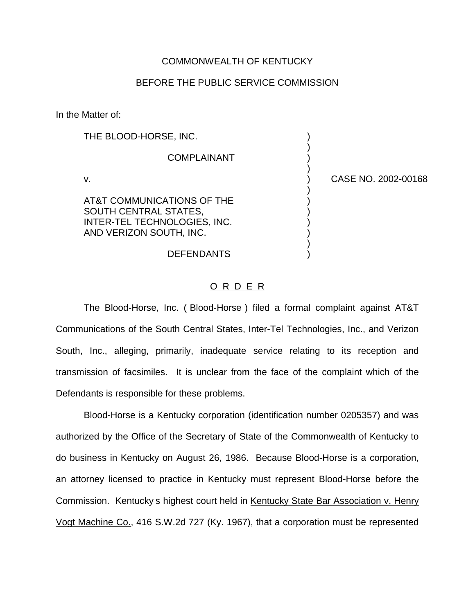## COMMONWEALTH OF KENTUCKY

## BEFORE THE PUBLIC SERVICE COMMISSION

In the Matter of:

| THE BLOOD-HORSE, INC.                                                                                          |                     |
|----------------------------------------------------------------------------------------------------------------|---------------------|
| <b>COMPLAINANT</b>                                                                                             |                     |
| v.                                                                                                             | CASE NO. 2002-00168 |
| AT&T COMMUNICATIONS OF THE<br>SOUTH CENTRAL STATES,<br>INTER-TEL TECHNOLOGIES, INC.<br>AND VERIZON SOUTH, INC. |                     |
| <b>DEFENDANTS</b>                                                                                              |                     |

## O R D E R

The Blood-Horse, Inc. ( Blood-Horse ) filed a formal complaint against AT&T Communications of the South Central States, Inter-Tel Technologies, Inc., and Verizon South, Inc., alleging, primarily, inadequate service relating to its reception and transmission of facsimiles. It is unclear from the face of the complaint which of the Defendants is responsible for these problems.

Blood-Horse is a Kentucky corporation (identification number 0205357) and was authorized by the Office of the Secretary of State of the Commonwealth of Kentucky to do business in Kentucky on August 26, 1986. Because Blood-Horse is a corporation, an attorney licensed to practice in Kentucky must represent Blood-Horse before the Commission. Kentucky s highest court held in Kentucky State Bar Association v. Henry Vogt Machine Co., 416 S.W.2d 727 (Ky. 1967), that a corporation must be represented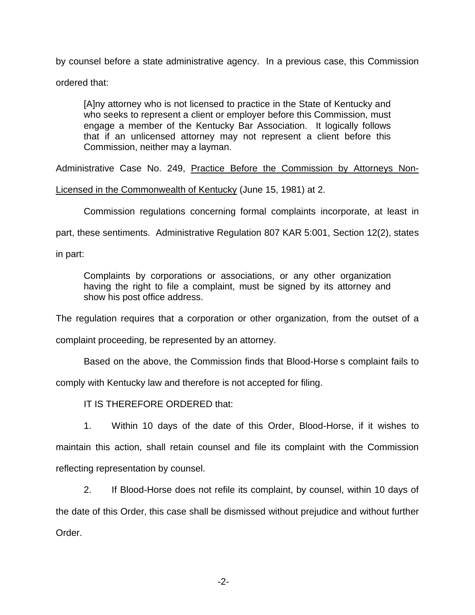by counsel before a state administrative agency. In a previous case, this Commission ordered that:

[A]ny attorney who is not licensed to practice in the State of Kentucky and who seeks to represent a client or employer before this Commission, must engage a member of the Kentucky Bar Association. It logically follows that if an unlicensed attorney may not represent a client before this Commission, neither may a layman.

Administrative Case No. 249, Practice Before the Commission by Attorneys Non-

Licensed in the Commonwealth of Kentucky (June 15, 1981) at 2.

Commission regulations concerning formal complaints incorporate, at least in

part, these sentiments. Administrative Regulation 807 KAR 5:001, Section 12(2), states

in part:

Complaints by corporations or associations, or any other organization having the right to file a complaint, must be signed by its attorney and show his post office address.

The regulation requires that a corporation or other organization, from the outset of a

complaint proceeding, be represented by an attorney.

Based on the above, the Commission finds that Blood-Horse s complaint fails to

comply with Kentucky law and therefore is not accepted for filing.

IT IS THEREFORE ORDERED that:

1. Within 10 days of the date of this Order, Blood-Horse, if it wishes to maintain this action, shall retain counsel and file its complaint with the Commission reflecting representation by counsel.

2. If Blood-Horse does not refile its complaint, by counsel, within 10 days of the date of this Order, this case shall be dismissed without prejudice and without further Order.

-2-